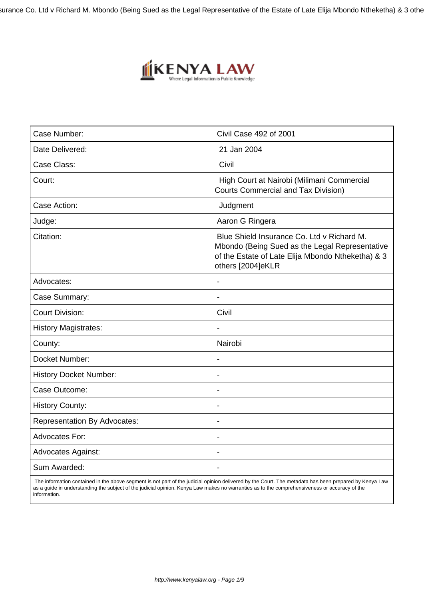surance Co. Ltd v Richard M. Mbondo (Being Sued as the Legal Representative of the Estate of Late Elija Mbondo Ntheketha) & 3 othe



| Case Number:                        | Civil Case 492 of 2001                                                                                                                                                 |
|-------------------------------------|------------------------------------------------------------------------------------------------------------------------------------------------------------------------|
| Date Delivered:                     | 21 Jan 2004                                                                                                                                                            |
| Case Class:                         | Civil                                                                                                                                                                  |
| Court:                              | High Court at Nairobi (Milimani Commercial<br><b>Courts Commercial and Tax Division)</b>                                                                               |
| Case Action:                        | Judgment                                                                                                                                                               |
| Judge:                              | Aaron G Ringera                                                                                                                                                        |
| Citation:                           | Blue Shield Insurance Co. Ltd v Richard M.<br>Mbondo (Being Sued as the Legal Representative<br>of the Estate of Late Elija Mbondo Ntheketha) & 3<br>others [2004]eKLR |
| Advocates:                          | $\blacksquare$                                                                                                                                                         |
| Case Summary:                       |                                                                                                                                                                        |
| <b>Court Division:</b>              | Civil                                                                                                                                                                  |
| <b>History Magistrates:</b>         |                                                                                                                                                                        |
| County:                             | Nairobi                                                                                                                                                                |
| Docket Number:                      |                                                                                                                                                                        |
| <b>History Docket Number:</b>       |                                                                                                                                                                        |
| Case Outcome:                       | $\overline{\phantom{a}}$                                                                                                                                               |
| <b>History County:</b>              | ÷                                                                                                                                                                      |
| <b>Representation By Advocates:</b> | $\overline{\phantom{a}}$                                                                                                                                               |
| <b>Advocates For:</b>               | ۰                                                                                                                                                                      |
| <b>Advocates Against:</b>           | $\overline{\phantom{a}}$                                                                                                                                               |
| Sum Awarded:                        | $\overline{\phantom{a}}$                                                                                                                                               |
|                                     |                                                                                                                                                                        |

 The information contained in the above segment is not part of the judicial opinion delivered by the Court. The metadata has been prepared by Kenya Law as a guide in understanding the subject of the judicial opinion. Kenya Law makes no warranties as to the comprehensiveness or accuracy of the information.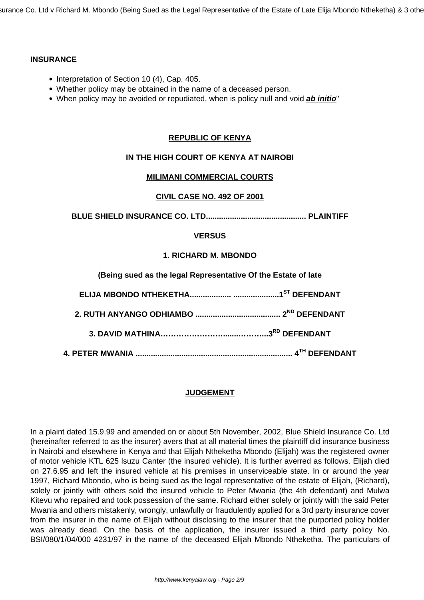surance Co. Ltd v Richard M. Mbondo (Being Sued as the Legal Representative of the Estate of Late Elija Mbondo Ntheketha) & 3 othe

### **INSURANCE**

- Interpretation of Section 10 (4), Cap. 405.
- Whether policy may be obtained in the name of a deceased person.
- When policy may be avoided or repudiated, when is policy null and void **ab initio**"

# **REPUBLIC OF KENYA**

# **IN THE HIGH COURT OF KENYA AT NAIROBI**

#### **MILIMANI COMMERCIAL COURTS**

#### **CIVIL CASE NO. 492 OF 2001**

**BLUE SHIELD INSURANCE CO. LTD.............................................. PLAINTIFF**

### **VERSUS**

### **1. RICHARD M. MBONDO**

|  |  |  | (Being sued as the legal Representative Of the Estate of late |  |  |
|--|--|--|---------------------------------------------------------------|--|--|
|  |  |  |                                                               |  |  |

# **JUDGEMENT**

In a plaint dated 15.9.99 and amended on or about 5th November, 2002, Blue Shield Insurance Co. Ltd (hereinafter referred to as the insurer) avers that at all material times the plaintiff did insurance business in Nairobi and elsewhere in Kenya and that Elijah Ntheketha Mbondo (Elijah) was the registered owner of motor vehicle KTL 625 lsuzu Canter (the insured vehicle). It is further averred as follows. Elijah died on 27.6.95 and left the insured vehicle at his premises in unserviceable state. In or around the year 1997, Richard Mbondo, who is being sued as the legal representative of the estate of Elijah, (Richard), solely or jointly with others sold the insured vehicle to Peter Mwania (the 4th defendant) and Mulwa Kitevu who repaired and took possession of the same. Richard either solely or jointly with the said Peter Mwania and others mistakenly, wrongly, unlawfully or fraudulently applied for a 3rd party insurance cover from the insurer in the name of Elijah without disclosing to the insurer that the purported policy holder was already dead. On the basis of the application, the insurer issued a third party policy No. BSI/080/1/04/000 4231/97 in the name of the deceased Elijah Mbondo Ntheketha. The particulars of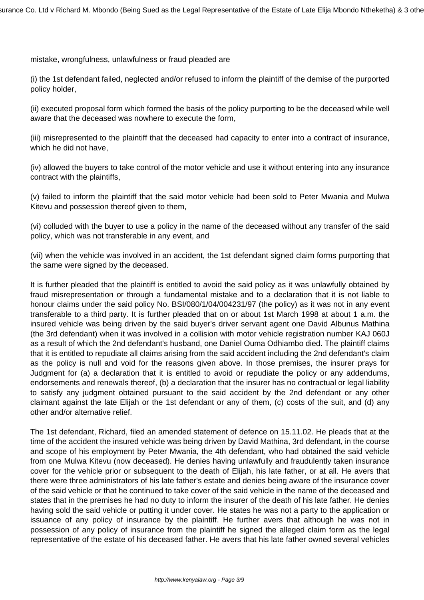mistake, wrongfulness, unlawfulness or fraud pleaded are

(i) the 1st defendant failed, neglected and/or refused to inform the plaintiff of the demise of the purported policy holder,

(ii) executed proposal form which formed the basis of the policy purporting to be the deceased while well aware that the deceased was nowhere to execute the form,

(iii) misrepresented to the plaintiff that the deceased had capacity to enter into a contract of insurance, which he did not have,

(iv) allowed the buyers to take control of the motor vehicle and use it without entering into any insurance contract with the plaintiffs,

(v) failed to inform the plaintiff that the said motor vehicle had been sold to Peter Mwania and Mulwa Kitevu and possession thereof given to them,

(vi) colluded with the buyer to use a policy in the name of the deceased without any transfer of the said policy, which was not transferable in any event, and

(vii) when the vehicle was involved in an accident, the 1st defendant signed claim forms purporting that the same were signed by the deceased.

It is further pleaded that the plaintiff is entitled to avoid the said policy as it was unlawfully obtained by fraud misrepresentation or through a fundamental mistake and to a declaration that it is not liable to honour claims under the said policy No. BSI/080/1/04/004231/97 (the policy) as it was not in any event transferable to a third party. It is further pleaded that on or about 1st March 1998 at about 1 a.m. the insured vehicle was being driven by the said buyer's driver servant agent one David Albunus Mathina (the 3rd defendant) when it was involved in a collision with motor vehicle registration number KAJ 060J as a result of which the 2nd defendant's husband, one Daniel Ouma Odhiambo died. The plaintiff claims that it is entitled to repudiate all claims arising from the said accident including the 2nd defendant's claim as the policy is null and void for the reasons given above. In those premises, the insurer prays for Judgment for (a) a declaration that it is entitled to avoid or repudiate the policy or any addendums, endorsements and renewals thereof, (b) a declaration that the insurer has no contractual or legal liability to satisfy any judgment obtained pursuant to the said accident by the 2nd defendant or any other claimant against the late Elijah or the 1st defendant or any of them, (c) costs of the suit, and (d) any other and/or alternative relief.

The 1st defendant, Richard, filed an amended statement of defence on 15.11.02. He pleads that at the time of the accident the insured vehicle was being driven by David Mathina, 3rd defendant, in the course and scope of his employment by Peter Mwania, the 4th defendant, who had obtained the said vehicle from one Mulwa Kitevu (now deceased). He denies having unlawfully and fraudulently taken insurance cover for the vehicle prior or subsequent to the death of Elijah, his late father, or at all. He avers that there were three administrators of his late father's estate and denies being aware of the insurance cover of the said vehicle or that he continued to take cover of the said vehicle in the name of the deceased and states that in the premises he had no duty to inform the insurer of the death of his late father. He denies having sold the said vehicle or putting it under cover. He states he was not a party to the application or issuance of any policy of insurance by the plaintiff. He further avers that although he was not in possession of any policy of insurance from the plaintiff he signed the alleged claim form as the legal representative of the estate of his deceased father. He avers that his late father owned several vehicles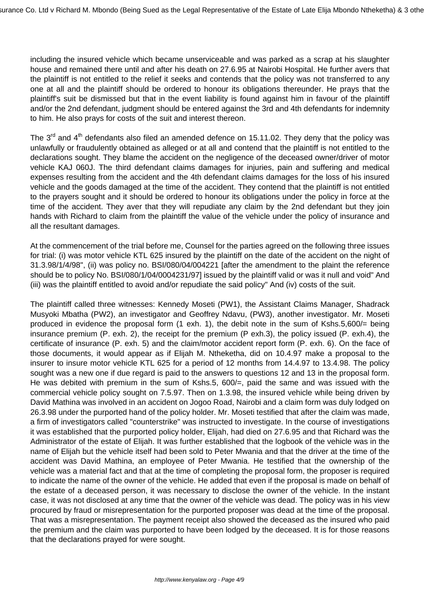including the insured vehicle which became unserviceable and was parked as a scrap at his slaughter house and remained there until and after his death on 27.6.95 at Nairobi Hospital. He further avers that the plaintiff is not entitled to the relief it seeks and contends that the policy was not transferred to any one at all and the plaintiff should be ordered to honour its obligations thereunder. He prays that the plaintiff's suit be dismissed but that in the event liability is found against him in favour of the plaintiff and/or the 2nd defendant, judgment should be entered against the 3rd and 4th defendants for indemnity to him. He also prays for costs of the suit and interest thereon.

The  $3<sup>rd</sup>$  and  $4<sup>th</sup>$  defendants also filed an amended defence on 15.11.02. They deny that the policy was unlawfully or fraudulently obtained as alleged or at all and contend that the plaintiff is not entitled to the declarations sought. They blame the accident on the negligence of the deceased owner/driver of motor vehicle KAJ 060J. The third defendant claims damages for injuries, pain and suffering and medical expenses resulting from the accident and the 4th defendant claims damages for the loss of his insured vehicle and the goods damaged at the time of the accident. They contend that the plaintiff is not entitled to the prayers sought and it should be ordered to honour its obligations under the policy in force at the time of the accident. They aver that they will repudiate any claim by the 2nd defendant but they join hands with Richard to claim from the plaintiff the value of the vehicle under the policy of insurance and all the resultant damages.

At the commencement of the trial before me, Counsel for the parties agreed on the following three issues for trial: (i) was motor vehicle KTL 625 insured by the plaintiff on the date of the accident on the night of 31.3.98/1/4/98", (ii) was policy no. BSI/080/04/004221 [after the amendment to the plaint the reference should be to policy No. BSI/080/1/04/0004231/97] issued by the plaintiff valid or was it null and void" And (iii) was the plaintiff entitled to avoid and/or repudiate the said policy" And (iv) costs of the suit.

The plaintiff called three witnesses: Kennedy Moseti (PW1), the Assistant Claims Manager, Shadrack Musyoki Mbatha (PW2), an investigator and Geoffrey Ndavu, (PW3), another investigator. Mr. Moseti produced in evidence the proposal form (1 exh. 1), the debit note in the sum of Kshs.5,600/= being insurance premium (P. exh. 2), the receipt for the premium (P exh.3), the policy issued (P. exh.4), the certificate of insurance (P. exh. 5) and the claim/motor accident report form (P. exh. 6). On the face of those documents, it would appear as if Elijah M. Ntheketha, did on 10.4.97 make a proposal to the insurer to insure motor vehicle KTL 625 for a period of 12 months from 14.4.97 to 13.4.98. The policy sought was a new one if due regard is paid to the answers to questions 12 and 13 in the proposal form. He was debited with premium in the sum of Kshs.5, 600/=, paid the same and was issued with the commercial vehicle policy sought on 7.5.97. Then on 1.3.98, the insured vehicle while being driven by David Mathina was involved in an accident on Jogoo Road, Nairobi and a claim form was duly lodged on 26.3.98 under the purported hand of the policy holder. Mr. Moseti testified that after the claim was made, a firm of investigators called "counterstrike" was instructed to investigate. In the course of investigations it was established that the purported policy holder, Elijah, had died on 27.6.95 and that Richard was the Administrator of the estate of Elijah. It was further established that the logbook of the vehicle was in the name of Elijah but the vehicle itself had been sold to Peter Mwania and that the driver at the time of the accident was David Mathina, an employee of Peter Mwania. He testified that the ownership of the vehicle was a material fact and that at the time of completing the proposal form, the proposer is required to indicate the name of the owner of the vehicle. He added that even if the proposal is made on behalf of the estate of a deceased person, it was necessary to disclose the owner of the vehicle. In the instant case, it was not disclosed at any time that the owner of the vehicle was dead. The policy was in his view procured by fraud or misrepresentation for the purported proposer was dead at the time of the proposal. That was a misrepresentation. The payment receipt also showed the deceased as the insured who paid the premium and the claim was purported to have been lodged by the deceased. It is for those reasons that the declarations prayed for were sought.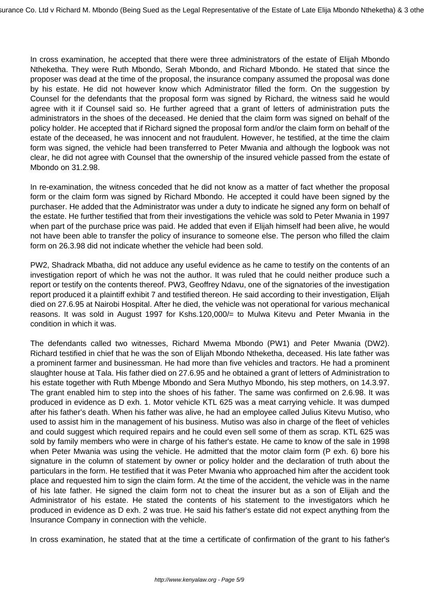In cross examination, he accepted that there were three administrators of the estate of Elijah Mbondo Ntheketha. They were Ruth Mbondo, Serah Mbondo, and Richard Mbondo. He stated that since the proposer was dead at the time of the proposal, the insurance company assumed the proposal was done by his estate. He did not however know which Administrator filled the form. On the suggestion by Counsel for the defendants that the proposal form was signed by Richard, the witness said he would agree with it if Counsel said so. He further agreed that a grant of letters of administration puts the administrators in the shoes of the deceased. He denied that the claim form was signed on behalf of the policy holder. He accepted that if Richard signed the proposal form and/or the claim form on behalf of the estate of the deceased, he was innocent and not fraudulent. However, he testified, at the time the claim form was signed, the vehicle had been transferred to Peter Mwania and although the logbook was not clear, he did not agree with Counsel that the ownership of the insured vehicle passed from the estate of Mbondo on 31.2.98.

In re-examination, the witness conceded that he did not know as a matter of fact whether the proposal form or the claim form was signed by Richard Mbondo. He accepted it could have been signed by the purchaser. He added that the Administrator was under a duty to indicate he signed any form on behalf of the estate. He further testified that from their investigations the vehicle was sold to Peter Mwania in 1997 when part of the purchase price was paid. He added that even if Elijah himself had been alive, he would not have been able to transfer the policy of insurance to someone else. The person who filled the claim form on 26.3.98 did not indicate whether the vehicle had been sold.

PW2, Shadrack Mbatha, did not adduce any useful evidence as he came to testify on the contents of an investigation report of which he was not the author. It was ruled that he could neither produce such a report or testify on the contents thereof. PW3, Geoffrey Ndavu, one of the signatories of the investigation report produced it a plaintiff exhibit 7 and testified thereon. He said according to their investigation, Elijah died on 27.6.95 at Nairobi Hospital. After he died, the vehicle was not operational for various mechanical reasons. It was sold in August 1997 for Kshs.120,000/= to Mulwa Kitevu and Peter Mwania in the condition in which it was.

The defendants called two witnesses, Richard Mwema Mbondo (PW1) and Peter Mwania (DW2). Richard testified in chief that he was the son of Elijah Mbondo Ntheketha, deceased. His late father was a prominent farmer and businessman. He had more than five vehicles and tractors. He had a prominent slaughter house at Tala. His father died on 27.6.95 and he obtained a grant of letters of Administration to his estate together with Ruth Mbenge Mbondo and Sera Muthyo Mbondo, his step mothers, on 14.3.97. The grant enabled him to step into the shoes of his father. The same was confirmed on 2.6.98. It was produced in evidence as D exh. 1. Motor vehicle KTL 625 was a meat carrying vehicle. It was dumped after his father's death. When his father was alive, he had an employee called Julius Kitevu Mutiso, who used to assist him in the management of his business. Mutiso was also in charge of the fleet of vehicles and could suggest which required repairs and he could even sell some of them as scrap. KTL 625 was sold by family members who were in charge of his father's estate. He came to know of the sale in 1998 when Peter Mwania was using the vehicle. He admitted that the motor claim form (P exh. 6) bore his signature in the column of statement by owner or policy holder and the declaration of truth about the particulars in the form. He testified that it was Peter Mwania who approached him after the accident took place and requested him to sign the claim form. At the time of the accident, the vehicle was in the name of his late father. He signed the claim form not to cheat the insurer but as a son of Elijah and the Administrator of his estate. He stated the contents of his statement to the investigators which he produced in evidence as D exh. 2 was true. He said his father's estate did not expect anything from the Insurance Company in connection with the vehicle.

In cross examination, he stated that at the time a certificate of confirmation of the grant to his father's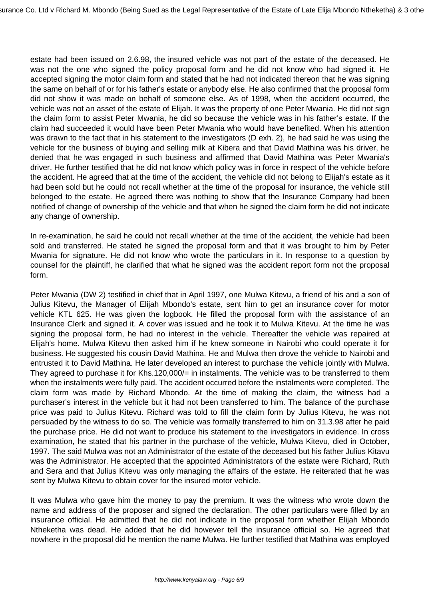estate had been issued on 2.6.98, the insured vehicle was not part of the estate of the deceased. He was not the one who signed the policy proposal form and he did not know who had signed it. He accepted signing the motor claim form and stated that he had not indicated thereon that he was signing the same on behalf of or for his father's estate or anybody else. He also confirmed that the proposal form did not show it was made on behalf of someone else. As of 1998, when the accident occurred, the vehicle was not an asset of the estate of Elijah. It was the property of one Peter Mwania. He did not sign the claim form to assist Peter Mwania, he did so because the vehicle was in his father's estate. If the claim had succeeded it would have been Peter Mwania who would have benefited. When his attention was drawn to the fact that in his statement to the investigators (D exh. 2), he had said he was using the vehicle for the business of buying and selling milk at Kibera and that David Mathina was his driver, he denied that he was engaged in such business and affirmed that David Mathina was Peter Mwania's driver. He further testified that he did not know which policy was in force in respect of the vehicle before the accident. He agreed that at the time of the accident, the vehicle did not belong to Elijah's estate as it had been sold but he could not recall whether at the time of the proposal for insurance, the vehicle still belonged to the estate. He agreed there was nothing to show that the Insurance Company had been notified of change of ownership of the vehicle and that when he signed the claim form he did not indicate any change of ownership.

In re-examination, he said he could not recall whether at the time of the accident, the vehicle had been sold and transferred. He stated he signed the proposal form and that it was brought to him by Peter Mwania for signature. He did not know who wrote the particulars in it. In response to a question by counsel for the plaintiff, he clarified that what he signed was the accident report form not the proposal form.

Peter Mwania (DW 2) testified in chief that in April 1997, one Mulwa Kitevu, a friend of his and a son of Julius Kitevu, the Manager of Elijah Mbondo's estate, sent him to get an insurance cover for motor vehicle KTL 625. He was given the logbook. He filled the proposal form with the assistance of an Insurance Clerk and signed it. A cover was issued and he took it to Mulwa Kitevu. At the time he was signing the proposal form, he had no interest in the vehicle. Thereafter the vehicle was repaired at Elijah's home. Mulwa Kitevu then asked him if he knew someone in Nairobi who could operate it for business. He suggested his cousin David Mathina. He and Mulwa then drove the vehicle to Nairobi and entrusted it to David Mathina. He later developed an interest to purchase the vehicle jointly with Mulwa. They agreed to purchase it for Khs.120,000/= in instalments. The vehicle was to be transferred to them when the instalments were fully paid. The accident occurred before the instalments were completed. The claim form was made by Richard Mbondo. At the time of making the claim, the witness had a purchaser's interest in the vehicle but it had not been transferred to him. The balance of the purchase price was paid to Julius Kitevu. Richard was told to fill the claim form by Julius Kitevu, he was not persuaded by the witness to do so. The vehicle was formally transferred to him on 31.3.98 after he paid the purchase price. He did not want to produce his statement to the investigators in evidence. In cross examination, he stated that his partner in the purchase of the vehicle, Mulwa Kitevu, died in October, 1997. The said Mulwa was not an Administrator of the estate of the deceased but his father Julius Kitavu was the Administrator. He accepted that the appointed Administrators of the estate were Richard, Ruth and Sera and that Julius Kitevu was only managing the affairs of the estate. He reiterated that he was sent by Mulwa Kitevu to obtain cover for the insured motor vehicle.

It was Mulwa who gave him the money to pay the premium. It was the witness who wrote down the name and address of the proposer and signed the declaration. The other particulars were filled by an insurance official. He admitted that he did not indicate in the proposal form whether Elijah Mbondo Ntheketha was dead. He added that he did however tell the insurance official so. He agreed that nowhere in the proposal did he mention the name Mulwa. He further testified that Mathina was employed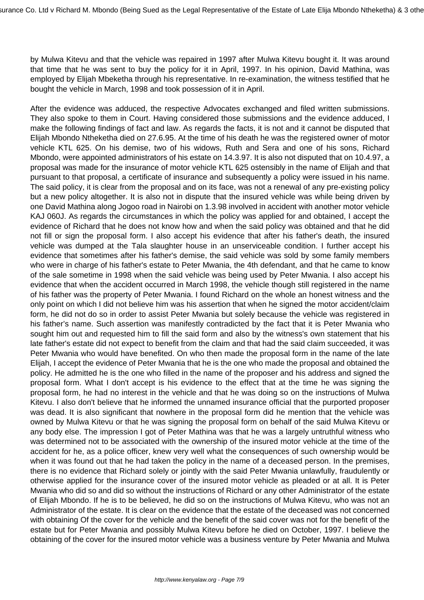by Mulwa Kitevu and that the vehicle was repaired in 1997 after Mulwa Kitevu bought it. It was around that time that he was sent to buy the policy for it in April, 1997. In his opinion, David Mathina, was employed by Elijah Mbeketha through his representative. In re-examination, the witness testified that he bought the vehicle in March, 1998 and took possession of it in April.

After the evidence was adduced, the respective Advocates exchanged and filed written submissions. They also spoke to them in Court. Having considered those submissions and the evidence adduced, I make the following findings of fact and law. As regards the facts, it is not and it cannot be disputed that Elijah Mbondo Ntheketha died on 27.6.95. At the time of his death he was the registered owner of motor vehicle KTL 625. On his demise, two of his widows, Ruth and Sera and one of his sons, Richard Mbondo, were appointed administrators of his estate on 14.3.97. It is also not disputed that on 10.4.97, a proposal was made for the insurance of motor vehicle KTL 625 ostensibly in the name of Elijah and that pursuant to that proposal, a certificate of insurance and subsequently a policy were issued in his name. The said policy, it is clear from the proposal and on its face, was not a renewal of any pre-existing policy but a new policy altogether. It is also not in dispute that the insured vehicle was while being driven by one David Mathina along Jogoo road in Nairobi on 1.3.98 involved in accident with another motor vehicle KAJ 060J. As regards the circumstances in which the policy was applied for and obtained, I accept the evidence of Richard that he does not know how and when the said policy was obtained and that he did not fill or sign the proposal form. I also accept his evidence that after his father's death, the insured vehicle was dumped at the Tala slaughter house in an unserviceable condition. I further accept his evidence that sometimes after his father's demise, the said vehicle was sold by some family members who were in charge of his father's estate to Peter Mwania, the 4th defendant, and that he came to know of the sale sometime in 1998 when the said vehicle was being used by Peter Mwania. I also accept his evidence that when the accident occurred in March 1998, the vehicle though still registered in the name of his father was the property of Peter Mwania. I found Richard on the whole an honest witness and the only point on which I did not believe him was his assertion that when he signed the motor accident/claim form, he did not do so in order to assist Peter Mwania but solely because the vehicle was registered in his father's name. Such assertion was manifestly contradicted by the fact that it is Peter Mwania who sought him out and requested him to fill the said form and also by the witness's own statement that his late father's estate did not expect to benefit from the claim and that had the said claim succeeded, it was Peter Mwania who would have benefited. On who then made the proposal form in the name of the late Elijah, I accept the evidence of Peter Mwania that he is the one who made the proposal and obtained the policy. He admitted he is the one who filled in the name of the proposer and his address and signed the proposal form. What I don't accept is his evidence to the effect that at the time he was signing the proposal form, he had no interest in the vehicle and that he was doing so on the instructions of Mulwa Kitevu. I also don't believe that he informed the unnamed insurance official that the purported proposer was dead. It is also significant that nowhere in the proposal form did he mention that the vehicle was owned by Mulwa Kitevu or that he was signing the proposal form on behalf of the said Mulwa Kitevu or any body else. The impression I got of Peter Mathina was that he was a largely untruthful witness who was determined not to be associated with the ownership of the insured motor vehicle at the time of the accident for he, as a police officer, knew very well what the consequences of such ownership would be when it was found out that he had taken the policy in the name of a deceased person. In the premises, there is no evidence that Richard solely or jointly with the said Peter Mwania unlawfully, fraudulently or otherwise applied for the insurance cover of the insured motor vehicle as pleaded or at all. It is Peter Mwania who did so and did so without the instructions of Richard or any other Administrator of the estate of Elijah Mbondo. If he is to be believed, he did so on the instructions of Mulwa Kitevu, who was not an Administrator of the estate. It is clear on the evidence that the estate of the deceased was not concerned with obtaining Of the cover for the vehicle and the benefit of the said cover was not for the benefit of the estate but for Peter Mwania and possibly Mulwa Kitevu before he died on October, 1997. I believe the obtaining of the cover for the insured motor vehicle was a business venture by Peter Mwania and Mulwa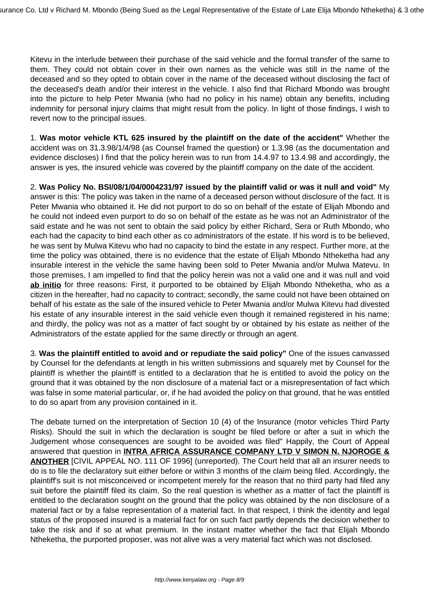Kitevu in the interlude between their purchase of the said vehicle and the formal transfer of the same to them. They could not obtain cover in their own names as the vehicle was still in the name of the deceased and so they opted to obtain cover in the name of the deceased without disclosing the fact of the deceased's death and/or their interest in the vehicle. I also find that Richard Mbondo was brought into the picture to help Peter Mwania (who had no policy in his name) obtain any benefits, including indemnity for personal injury claims that might result from the policy. In light of those findings, I wish to revert now to the principal issues.

1. **Was motor vehicle KTL 625 insured by the plaintiff on the date of the accident"** Whether the accident was on 31.3.98/1/4/98 (as Counsel framed the question) or 1.3.98 (as the documentation and evidence discloses) I find that the policy herein was to run from 14.4.97 to 13.4.98 and accordingly, the answer is yes, the insured vehicle was covered by the plaintiff company on the date of the accident.

2. **Was Policy No. BSI/08/1/04/0004231/97 issued by the plaintiff valid or was it null and void"** My answer is this: The policy was taken in the name of a deceased person without disclosure of the fact. It is Peter Mwania who obtained it. He did not purport to do so on behalf of the estate of Elijah Mbondo and he could not indeed even purport to do so on behalf of the estate as he was not an Administrator of the said estate and he was not sent to obtain the said policy by either Richard, Sera or Ruth Mbondo, who each had the capacity to bind each other as co administrators of the estate. If his word is to be believed, he was sent by Mulwa Kitevu who had no capacity to bind the estate in any respect. Further more, at the time the policy was obtained, there is no evidence that the estate of Elijah Mbondo Ntheketha had any insurable interest in the vehicle the same having been sold to Peter Mwania and/or Mulwa Matevu. In those premises, I am impelled to find that the policy herein was not a valid one and it was null and void **ab initio** for three reasons: First, it purported to be obtained by Elijah Mbondo Ntheketha, who as a citizen in the hereafter, had no capacity to contract; secondly, the same could not have been obtained on behalf of his estate as the sale of the insured vehicle to Peter Mwania and/or Mulwa Kitevu had divested his estate of any insurable interest in the said vehicle even though it remained registered in his name; and thirdly, the policy was not as a matter of fact sought by or obtained by his estate as neither of the Administrators of the estate applied for the same directly or through an agent.

3. **Was the plaintiff entitled to avoid and or repudiate the said policy"** One of the issues canvassed by Counsel for the defendants at length in his written submissions and squarely met by Counsel for the plaintiff is whether the plaintiff is entitled to a declaration that he is entitled to avoid the policy on the ground that it was obtained by the non disclosure of a material fact or a misrepresentation of fact which was false in some material particular, or, if he had avoided the policy on that ground, that he was entitled to do so apart from any provision contained in it.

The debate turned on the interpretation of Section 10 (4) of the Insurance (motor vehicles Third Party Risks). Should the suit in which the declaration is sought be filed before or after a suit in which the Judgement whose consequences are sought to be avoided was filed" Happily, the Court of Appeal answered that question in **INTRA AFRICA ASSURANCE COMPANY LTD V SIMON N. NJOROGE & ANOTHER** [CIVIL APPEAL NO. 111 OF 1996] (unreported). The Court held that all an insurer needs to do is to file the declaratory suit either before or within 3 months of the claim being filed. Accordingly, the plaintiff's suit is not misconceived or incompetent merely for the reason that no third party had filed any suit before the plaintiff filed its claim. So the real question is whether as a matter of fact the plaintiff is entitled to the declaration sought on the ground that the policy was obtained by the non disclosure of a material fact or by a false representation of a material fact. In that respect, I think the identity and legal status of the proposed insured is a material fact for on such fact partly depends the decision whether to take the risk and if so at what premium. In the instant matter whether the fact that Elijah Mbondo Ntheketha, the purported proposer, was not alive was a very material fact which was not disclosed.